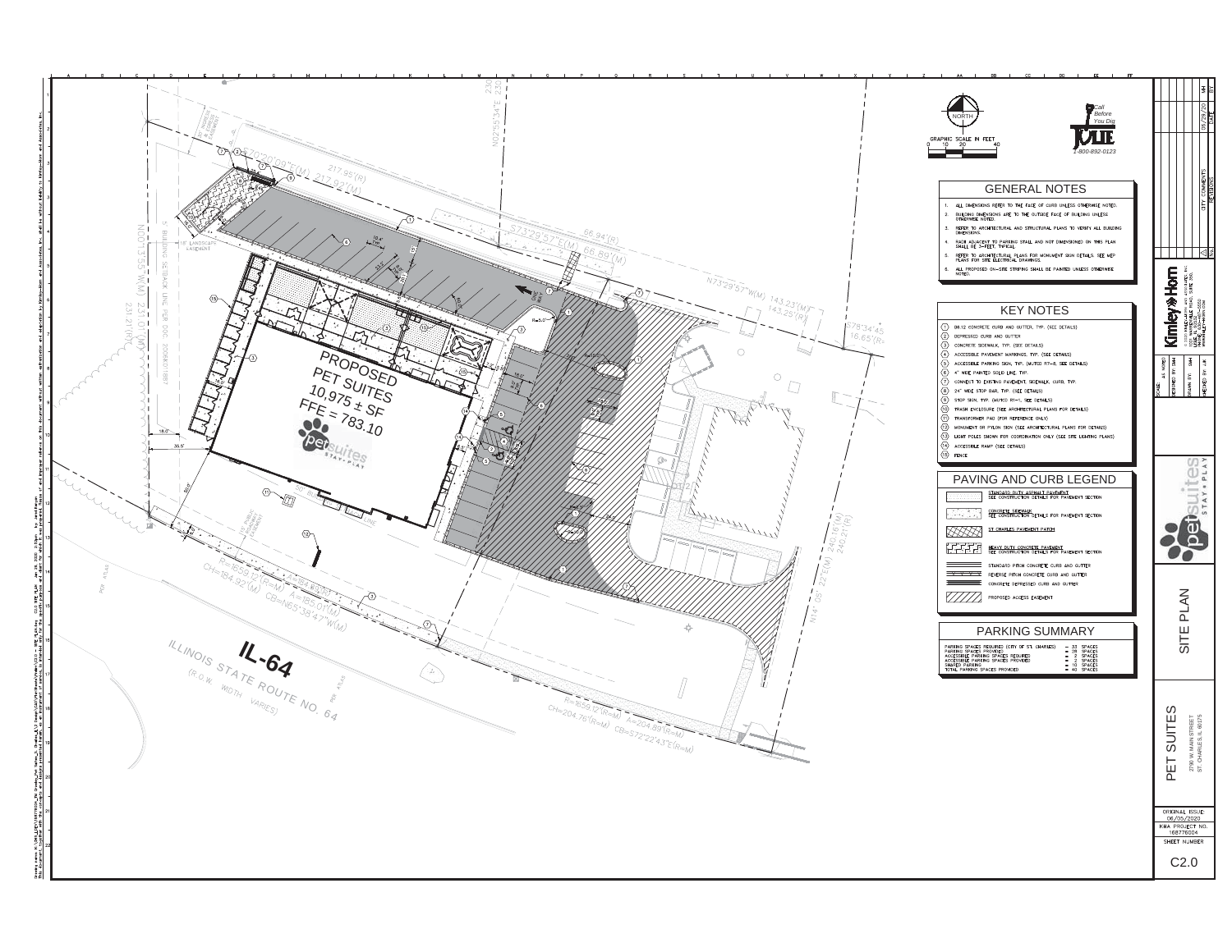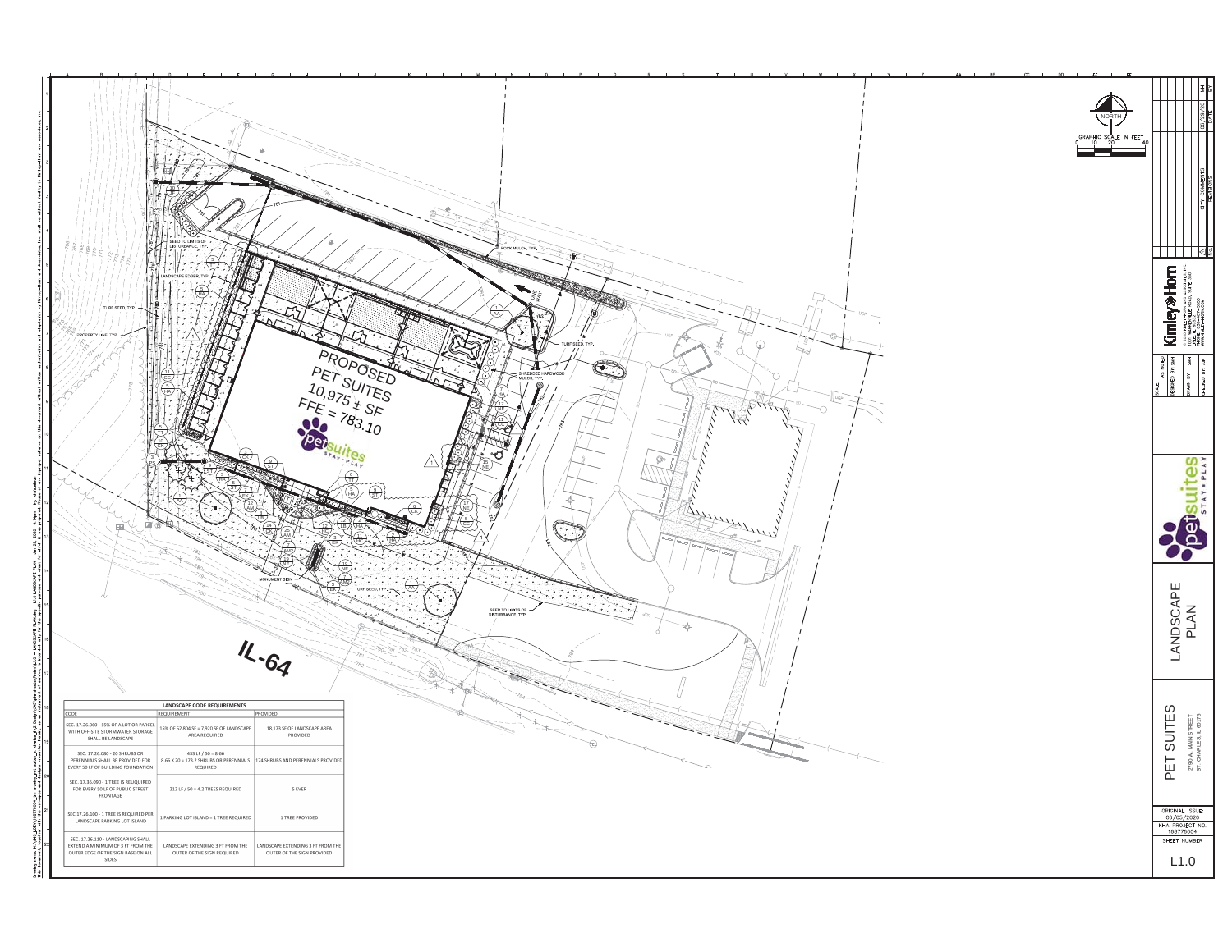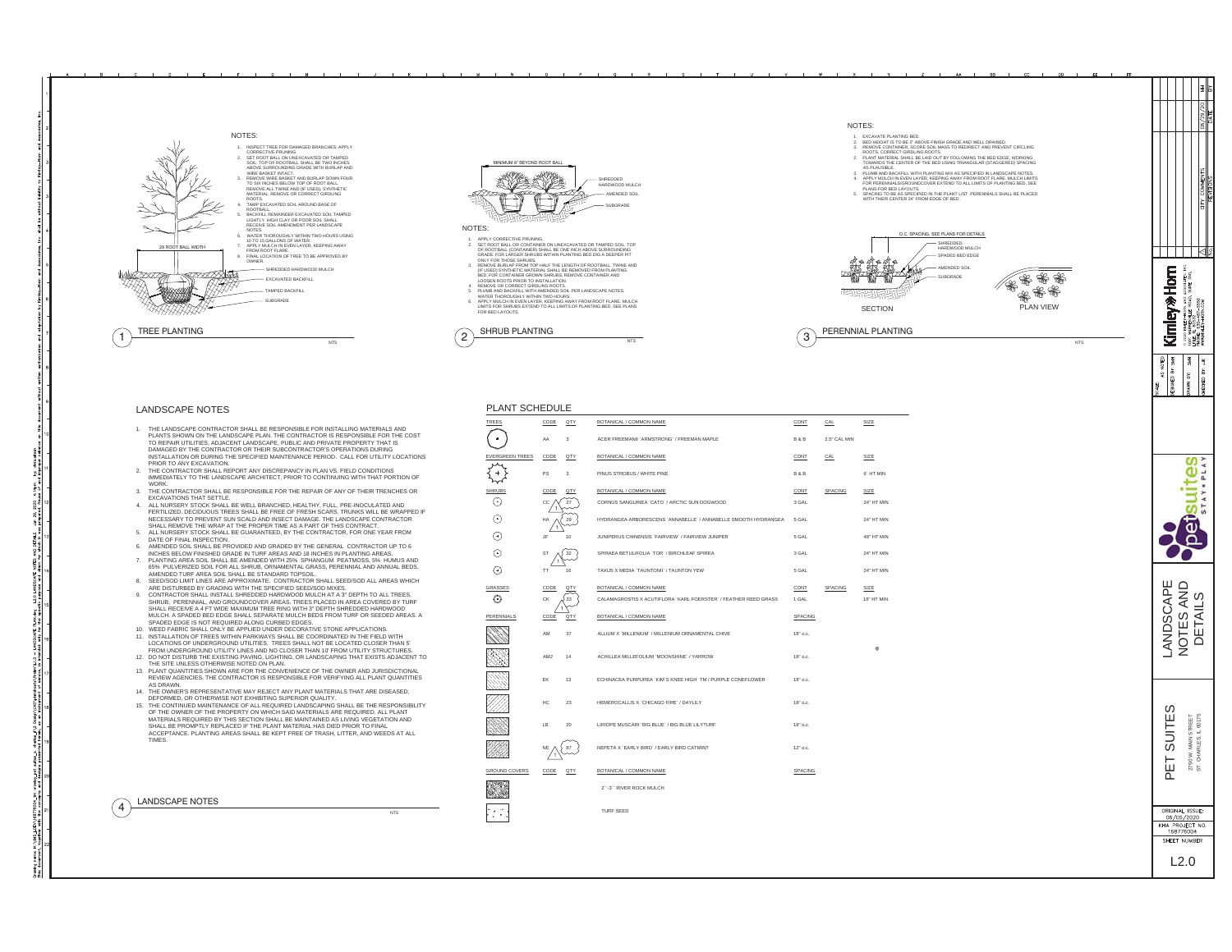

## LANDSCAPE NOTES

- 1. THE LANDSCAPE CONTRACTOR SHALL BE RESPONSIBLE FOR INSTALLING MATERIALS ANDPLANTS SHOWN ON THE LANDSCAPE PLAN. THE CONTRACTOR IS RESPONSIBLE FOR THE COST<br>TO REPAIR UTILITIES, ADJACENT LANDSCAPE, PUBLIC AND PRIVATE PROPERTY THAT IS<br>DAMAGED BY THE CONTRACTOR OR THEIR SUBCONTRACTOR'S OPERATIONS DURI PRIOR TO ANY EXCAVATION.
- 2. THE CONTRACTOR SHALL REPORT ANY DISCREPANCY IN PLAN VS. FIELD CONDITIONS IMMEDIATELY TO THE LANDSCAPE ARCHITECT, PRIOR TO CONTINUING WITH THAT PORTION OF
- WORK<br>3. THE CONTRACTOR SHALL BE RESPONSIBLE FOR THE REPAIR OF ANY OF THEIR TRENCHES OR<br>4. ALL NURSERY STOCK SHALL BE WELL BRANCHED, HEALTHY, FULL, PRE-INOCULATED AND<br>6. ALL NURSERY STOCK SHALL BE WELL BRANCHED, HEALTHY, FU
- MECESSARY TO PREVENT SUN SCALD AND INSECT DAMAGE. THE LANDSCAPE CONTRACTOR<br>SHALL REMOVE THE WRAP AT THE PROPER TIME AS A PART OF THIS CONTRACT.<br>5. ALL NURSERY STOCK SHALL BE GUARANTEED, BY THE CONTRACTOR, FOR ONE YEAR FROM
- 6. AMENDED SOIL SHALL BE PROVIDED AND GRADED BY THE GENERAL CONTRACTOR UP TO 6
- INCHES BELOW FINISHED GRADE IN TURF AREAS AND 18 INCHES IN PLANTING AREAS.<br>T. PLANTING AREA SOIL SHALL BE AMENDED WITH 25% SPHANGIUM PEATMOSS, 5% HUMUS AND<br>AGS% PULVERIZED SOIL FOR ALL SHRUG, ORNAINENTAL CRASS, PERENNIAL A
- 
- 9. CONTRACTOR SHALL INSTALL SHREDDED HARDWOOD MULCH AT A 3" DEPTH TO ALL TREES, SHRUB, PERENNIAL, AND GROUNDCOVER AREAS. TREES PLACED IN AREA COVERED BY TURF<br>SHALL RECEIVE A 4 FT WIDE MAXIMUM TREE RING WITH 3' DEPTH SHREDDED HARDWOOD<br>MULCH. A SPADED BED EDGE SHALL SEPARATE MULCH BEDS FROM TURF OR SEED
- SPADED EDGE IS NOT REQUIRED ALONG CURBED EDGES.10. WEED FABRIC SHALL ONLY BE APPLIED UNDER DECORATIVE STONE APPLICATIONS.
- 11. INSTALLATION OF TREES WITHIN PARKWAYS SHALL BE COORDINATED IN THE FIELD WITH<br>LOCATIONS OF UNDERGROUND UTILITIES. TREES SHALL NOT BE LOCATED CLOSER THAN 5<br>FROM UNDERGROUND UTILITY LINES AND NO CLOSER THAN 10' FROM UTILI
- 12. DO NOT DISTURB THE EXISTING PAVING, LIGHTING, OR LANDSCAPING THAT EXISTS ADJACENT TO THE SITE UNLESS OTHERWISE NOTED ON PLAN. 13. PLANT QUANTITIES SHOWN ARE FOR THE CONVENIENCE OF THE OWNER AND JURISDICTIONAL
- REVIEW AGENCIES. THE CONTRACTOR IS RESPONSIBLE FOR VERIFYING ALL PLANT QUANTITIES
- AS DRAWN. 14. THE OWNER'S REPRESENTATIVE MAY REJECT ANY PLANT MATERIALS THAT ARE DISEASED,
- DEFORMED, OR OTHERWISE NOT EXHIBITING SUPERIOR QUALITY. 15. THE CONTINUED MAINTENANCE OF ALL REQUIRED LANDSCAPING SHALL BE THE RESPONSIBILITY
- OF THE OWNER OF THE PROPERTY ON WHICH SAID MATERIALS ARE REQUIRED. ALL PLANT<br>MATERIALS REQUIRED BY THIS SECTION SHALL BE MAINTAINED AS LIVING VEGETATION AND<br>SHALL BE PROMPTLY REPLACED IF THE PLANT MATERIAL HAS DIED PRIOR T TIMES.

NTS

| 4 | <b>LANDSCAPE NOTES</b> |  |
|---|------------------------|--|
|   |                        |  |

| <b>PLANT SCHEDULE</b>  |      |     |                                                                 |            |              |            |  |  |  |
|------------------------|------|-----|-----------------------------------------------------------------|------------|--------------|------------|--|--|--|
| TREES                  | CODE | QTY | BOTANICAL / COMMON NAME                                         | CONT       | CAL          | SIZE       |  |  |  |
|                        | AA   | 3   | ACER FREEMANII 'ARMSTRONG' / FREEMAN MAPLE                      | B&B        | 2.5" CAL MIN |            |  |  |  |
| <b>EVERGREEN TREES</b> | CODE | QTY | BOTANICAL / COMMON NAME                                         | CONT       | CAL          | SIZE       |  |  |  |
|                        | PS   | 3   | PINUS STROBUS / WHITE PINE                                      | B&B        |              | 6" HT MIN  |  |  |  |
| SHRUB:                 | CODE | QTY | BOTANICAL / COMMON NAME                                         | CONT       | SPACING      | SIZE       |  |  |  |
| Ģ                      | CC   | 27  | CORNUS SANGUINEA 'CATO' / ARCTIC SUN DOGWOOD                    | 3 GAL      |              | 24" HT MIN |  |  |  |
| F                      | HA   | 29  | HYDRANGEA ARBORESCENS 'ANNABELLE' / ANNABELLE SMOOTH HYDRANGEA  | 5 GAL      |              | 24" HT MIN |  |  |  |
| Œ                      | JF   | 10  | JUNIPERUS CHINENSIS 'FAIRVIEW' / FAIRVIEW JUNIPER               | 5 GAL      |              | 48" HT MIN |  |  |  |
| ⊙                      | ST   | 32  | SPIRAEA BETULIFOLIA 'TOR' / BIRCHLEAF SPIREA                    | 3 GAL      |              | 24" HT MIN |  |  |  |
| ⊕                      | TT   | 16  | TAXUS X MEDIA 'TAUNTONII' / TAUNTON YEW                         | 5 GAL      |              | 24" HT MIN |  |  |  |
| GRASSES                | CODE | QTY | BOTANICAL / COMMON NAME                                         | CONT       | SPACING      | SIZE       |  |  |  |
| Θ                      | CK   | 33  | CALAMAGROSTIS X ACUTIFLORA 'KARL FOERSTER' / FEATHER REED GRASS | 1 GAL      |              | 18" HT MIN |  |  |  |
| PERENNIALS             | CODE | QTY | BOTANICAL / COMMON NAME                                         | SPACING    |              |            |  |  |  |
|                        | AM   | 37  | ALLIUM X 'MILLENIUM' / MILLENIUM ORNAMENTAL CHIVE               | 18" o.c.   |              |            |  |  |  |
|                        | AM2  | 14  | ACHILLEA MILLEFOLIUM 'MOONSHINE' / YARROW                       | 18" o.c.   |              | ۵          |  |  |  |
|                        | EK   | 13  | ECHINACEA PURPUREA 'KIM'S KNEE HIGH' TM / PURPLE CONEFLOWER     | 18" o.c.   |              |            |  |  |  |
|                        | HC   | 23  | HEMEROCALLIS X 'CHICAGO FIRE' / DAYLILY                         | 18" o.c.   |              |            |  |  |  |
|                        | LB   | 20  | LIRIOPE MUSCARI 'BIG BLUE' / BIG BLUE LILYTURF                  | 18" o.c.   |              |            |  |  |  |
|                        | NE   |     | NEPETA X 'EARLY BIRD' / EARLY BIRD CATMINT                      | $12°$ o.c. |              |            |  |  |  |
| <b>GROUND COVERS</b>   | CODE | QTY | BOTANICAL / COMMON NAME                                         | SPACING    |              |            |  |  |  |
|                        |      |     | 2"-3" RIVER ROCK MULCH                                          |            |              |            |  |  |  |
|                        |      |     | <b>TURF SEED</b>                                                |            |              |            |  |  |  |

suites ₩ ▵ LANDSCAPE<br>NOTES AND<br>DETAILS LANDSCAPE NOTES AND DETAILS

ທ

PET SUITES 2790 W. MAIN STREET ST. CHARLES, IL 60175

PET 품 2790<br>ST. C

 $\omega$ **SUITE** "REET<br>60175 MAIN

L2.0

ORIGINAL ISSUE:<br>06/05/2020<br>KHA PROJECT NO.<br>168776004 SHEET NUMBI